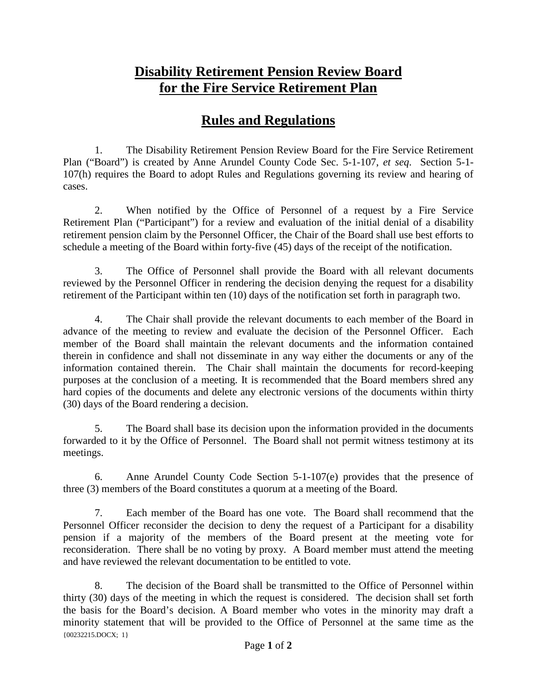## **Disability Retirement Pension Review Board for the Fire Service Retirement Plan**

## **Rules and Regulations**

1. The Disability Retirement Pension Review Board for the Fire Service Retirement Plan ("Board") is created by Anne Arundel County Code Sec. 5-1-107, *et seq*. Section 5-1- 107(h) requires the Board to adopt Rules and Regulations governing its review and hearing of cases.

2. When notified by the Office of Personnel of a request by a Fire Service Retirement Plan ("Participant") for a review and evaluation of the initial denial of a disability retirement pension claim by the Personnel Officer, the Chair of the Board shall use best efforts to schedule a meeting of the Board within forty-five (45) days of the receipt of the notification.

3. The Office of Personnel shall provide the Board with all relevant documents reviewed by the Personnel Officer in rendering the decision denying the request for a disability retirement of the Participant within ten (10) days of the notification set forth in paragraph two.

4. The Chair shall provide the relevant documents to each member of the Board in advance of the meeting to review and evaluate the decision of the Personnel Officer. Each member of the Board shall maintain the relevant documents and the information contained therein in confidence and shall not disseminate in any way either the documents or any of the information contained therein. The Chair shall maintain the documents for record-keeping purposes at the conclusion of a meeting. It is recommended that the Board members shred any hard copies of the documents and delete any electronic versions of the documents within thirty (30) days of the Board rendering a decision.

5. The Board shall base its decision upon the information provided in the documents forwarded to it by the Office of Personnel. The Board shall not permit witness testimony at its meetings.

6. Anne Arundel County Code Section 5-1-107(e) provides that the presence of three (3) members of the Board constitutes a quorum at a meeting of the Board.

7. Each member of the Board has one vote. The Board shall recommend that the Personnel Officer reconsider the decision to deny the request of a Participant for a disability pension if a majority of the members of the Board present at the meeting vote for reconsideration. There shall be no voting by proxy. A Board member must attend the meeting and have reviewed the relevant documentation to be entitled to vote.

{00232215.DOCX; 1} 8. The decision of the Board shall be transmitted to the Office of Personnel within thirty (30) days of the meeting in which the request is considered. The decision shall set forth the basis for the Board's decision. A Board member who votes in the minority may draft a minority statement that will be provided to the Office of Personnel at the same time as the